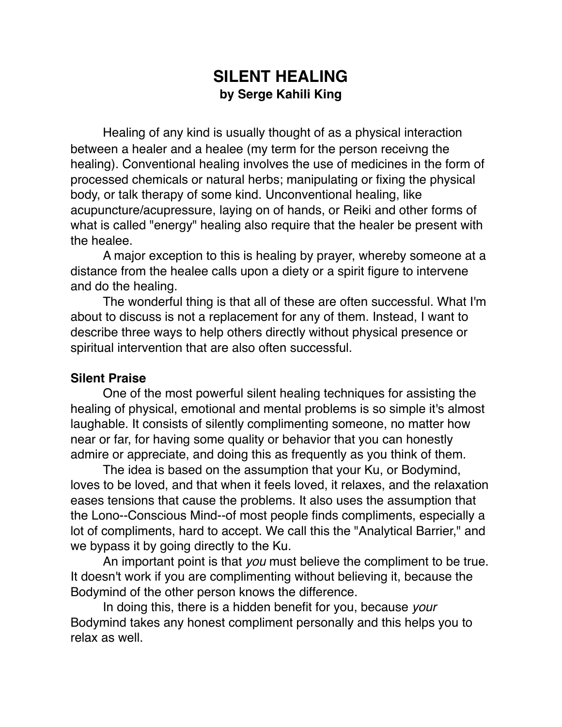# **SILENT HEALING by Serge Kahili King**

Healing of any kind is usually thought of as a physical interaction between a healer and a healee (my term for the person receivng the healing). Conventional healing involves the use of medicines in the form of processed chemicals or natural herbs; manipulating or fixing the physical body, or talk therapy of some kind. Unconventional healing, like acupuncture/acupressure, laying on of hands, or Reiki and other forms of what is called "energy" healing also require that the healer be present with the healee.

A major exception to this is healing by prayer, whereby someone at a distance from the healee calls upon a diety or a spirit figure to intervene and do the healing.

The wonderful thing is that all of these are often successful. What I'm about to discuss is not a replacement for any of them. Instead, I want to describe three ways to help others directly without physical presence or spiritual intervention that are also often successful.

#### **Silent Praise**

One of the most powerful silent healing techniques for assisting the healing of physical, emotional and mental problems is so simple it's almost laughable. It consists of silently complimenting someone, no matter how near or far, for having some quality or behavior that you can honestly admire or appreciate, and doing this as frequently as you think of them.

The idea is based on the assumption that your Ku, or Bodymind, loves to be loved, and that when it feels loved, it relaxes, and the relaxation eases tensions that cause the problems. It also uses the assumption that the Lono--Conscious Mind--of most people finds compliments, especially a lot of compliments, hard to accept. We call this the "Analytical Barrier," and we bypass it by going directly to the Ku.

An important point is that *you* must believe the compliment to be true. It doesn't work if you are complimenting without believing it, because the Bodymind of the other person knows the difference.

In doing this, there is a hidden benefit for you, because *your* Bodymind takes any honest compliment personally and this helps you to relax as well.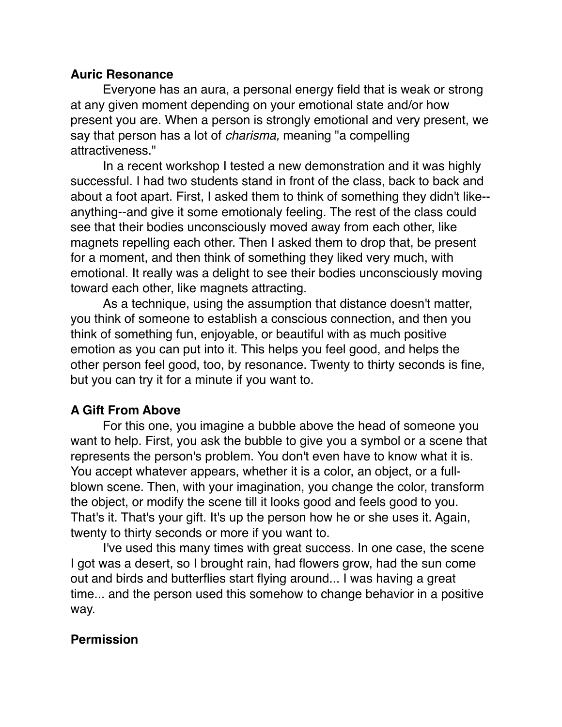### **Auric Resonance**

Everyone has an aura, a personal energy field that is weak or strong at any given moment depending on your emotional state and/or how present you are. When a person is strongly emotional and very present, we say that person has a lot of *charisma,* meaning "a compelling attractiveness."

In a recent workshop I tested a new demonstration and it was highly successful. I had two students stand in front of the class, back to back and about a foot apart. First, I asked them to think of something they didn't like- anything--and give it some emotionaly feeling. The rest of the class could see that their bodies unconsciously moved away from each other, like magnets repelling each other. Then I asked them to drop that, be present for a moment, and then think of something they liked very much, with emotional. It really was a delight to see their bodies unconsciously moving toward each other, like magnets attracting.

As a technique, using the assumption that distance doesn't matter, you think of someone to establish a conscious connection, and then you think of something fun, enjoyable, or beautiful with as much positive emotion as you can put into it. This helps you feel good, and helps the other person feel good, too, by resonance. Twenty to thirty seconds is fine, but you can try it for a minute if you want to.

## **A Gift From Above**

For this one, you imagine a bubble above the head of someone you want to help. First, you ask the bubble to give you a symbol or a scene that represents the person's problem. You don't even have to know what it is. You accept whatever appears, whether it is a color, an object, or a fullblown scene. Then, with your imagination, you change the color, transform the object, or modify the scene till it looks good and feels good to you. That's it. That's your gift. It's up the person how he or she uses it. Again, twenty to thirty seconds or more if you want to.

I've used this many times with great success. In one case, the scene I got was a desert, so I brought rain, had flowers grow, had the sun come out and birds and butterflies start flying around... I was having a great time... and the person used this somehow to change behavior in a positive way.

## **Permission**